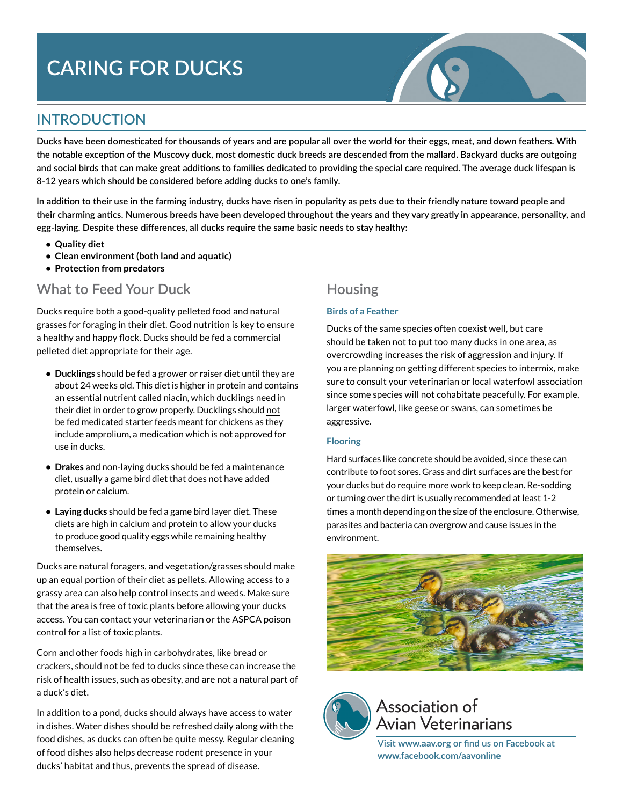# **CARING FOR DUCKS**

# **INTRODUCTION**

**Ducks have been domesticated for thousands of years and are popular all over the world for their eggs, meat, and down feathers. With the notable exception of the Muscovy duck, most domestic duck breeds are descended from the mallard. Backyard ducks are outgoing and social birds that can make great additions to families dedicated to providing the special care required. The average duck lifespan is 8-12 years which should be considered before adding ducks to one's family.**

**In addition to their use in the farming industry, ducks have risen in popularity as pets due to their friendly nature toward people and their charming antics. Numerous breeds have been developed throughout the years and they vary greatly in appearance, personality, and egg-laying. Despite these differences, all ducks require the same basic needs to stay healthy:**

- **• Quality diet**
- **• Clean environment (both land and aquatic)**
- **• Protection from predators**

### **What to Feed Your Duck**

Ducks require both a good-quality pelleted food and natural grasses for foraging in their diet. Good nutrition is key to ensure a healthy and happy flock. Ducks should be fed a commercial pelleted diet appropriate for their age.

- **• Ducklings** should be fed a grower or raiser diet until they are about 24 weeks old. This diet is higher in protein and contains an essential nutrient called niacin, which ducklings need in their diet in order to grow properly. Ducklings should not be fed medicated starter feeds meant for chickens as they include amprolium, a medication which is not approved for use in ducks.
- **• Drakes** and non-laying ducks should be fed a maintenance diet, usually a game bird diet that does not have added protein or calcium.
- **• Laying ducks** should be fed a game bird layer diet. These diets are high in calcium and protein to allow your ducks to produce good quality eggs while remaining healthy themselves.

Ducks are natural foragers, and vegetation/grasses should make up an equal portion of their diet as pellets. Allowing access to a grassy area can also help control insects and weeds. Make sure that the area is free of toxic plants before allowing your ducks access. You can contact your veterinarian or the ASPCA poison control for a list of toxic plants.

Corn and other foods high in carbohydrates, like bread or crackers, should not be fed to ducks since these can increase the risk of health issues, such as obesity, and are not a natural part of a duck's diet.

In addition to a pond, ducks should always have access to water in dishes. Water dishes should be refreshed daily along with the food dishes, as ducks can often be quite messy. Regular cleaning of food dishes also helps decrease rodent presence in your ducks' habitat and thus, prevents the spread of disease.

### **Housing**

#### **Birds of a Feather**

Ducks of the same species often coexist well, but care should be taken not to put too many ducks in one area, as overcrowding increases the risk of aggression and injury. If you are planning on getting different species to intermix, make sure to consult your veterinarian or local waterfowl association since some species will not cohabitate peacefully. For example, larger waterfowl, like geese or swans, can sometimes be aggressive.

#### **Flooring**

Hard surfaces like concrete should be avoided, since these can contribute to foot sores. Grass and dirt surfaces are the best for your ducks but do require more work to keep clean. Re-sodding or turning over the dirt is usually recommended at least 1-2 times a month depending on the size of the enclosure. Otherwise, parasites and bacteria can overgrow and cause issues in the environment.





# Association of **Avian Veterinarians**

**Visit www[.aav.org](http://www.aav.org) or find us on Facebook at www[.facebook.com/aavonline](http://www.facebook.com/aavonline)**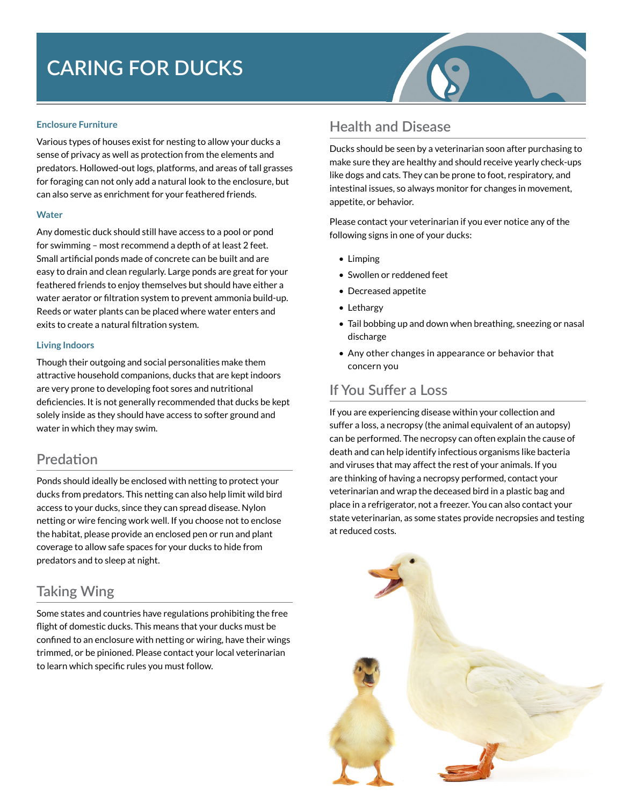# **CARING FOR DUCKS**

#### **Enclosure Furniture**

Various types of houses exist for nesting to allow your ducks a sense of privacy as well as protection from the elements and predators. Hollowed-out logs, platforms, and areas of tall grasses for foraging can not only add a natural look to the enclosure, but can also serve as enrichment for your feathered friends.

#### **Water**

Any domestic duck should still have access to a pool or pond for swimming – most recommend a depth of at least 2 feet. Small artificial ponds made of concrete can be built and are easy to drain and clean regularly. Large ponds are great for your feathered friends to enjoy themselves but should have either a water aerator or filtration system to prevent ammonia build-up. Reeds or water plants can be placed where water enters and exits to create a natural filtration system.

#### **Living Indoors**

Though their outgoing and social personalities make them attractive household companions, ducks that are kept indoors are very prone to developing foot sores and nutritional deficiencies. It is not generally recommended that ducks be kept solely inside as they should have access to softer ground and water in which they may swim.

### **Predation**

Ponds should ideally be enclosed with netting to protect your ducks from predators. This netting can also help limit wild bird access to your ducks, since they can spread disease. Nylon netting or wire fencing work well. If you choose not to enclose the habitat, please provide an enclosed pen or run and plant coverage to allow safe spaces for your ducks to hide from predators and to sleep at night.

### **Taking Wing**

Some states and countries have regulations prohibiting the free flight of domestic ducks. This means that your ducks must be confined to an enclosure with netting or wiring, have their wings trimmed, or be pinioned. Please contact your local veterinarian to learn which specific rules you must follow.

## **Health and Disease**

Ducks should be seen by a veterinarian soon after purchasing to make sure they are healthy and should receive yearly check-ups like dogs and cats. They can be prone to foot, respiratory, and intestinal issues, so always monitor for changes in movement, appetite, or behavior.

Please contact your veterinarian if you ever notice any of the following signs in one of your ducks:

- Limping
- Swollen or reddened feet
- Decreased appetite
- Lethargy
- Tail bobbing up and down when breathing, sneezing or nasal discharge
- Any other changes in appearance or behavior that concern you

### **If You Suffer a Loss**

If you are experiencing disease within your collection and suffer a loss, a necropsy (the animal equivalent of an autopsy) can be performed. The necropsy can often explain the cause of death and can help identify infectious organisms like bacteria and viruses that may affect the rest of your animals. If you are thinking of having a necropsy performed, contact your veterinarian and wrap the deceased bird in a plastic bag and place in a refrigerator, not a freezer. You can also contact your state veterinarian, as some states provide necropsies and testing at reduced costs.